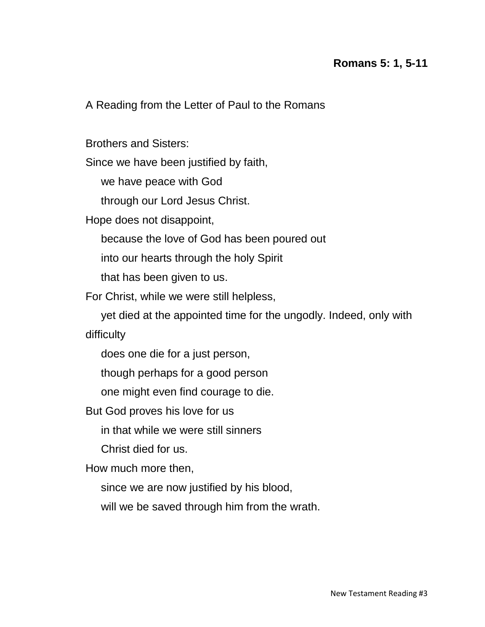## **Romans 5: 1, 5-11**

A Reading from the Letter of Paul to the Romans

Brothers and Sisters:

Since we have been justified by faith,

we have peace with God

through our Lord Jesus Christ.

Hope does not disappoint,

because the love of God has been poured out

into our hearts through the holy Spirit

that has been given to us.

For Christ, while we were still helpless,

 yet died at the appointed time for the ungodly. Indeed, only with difficulty

does one die for a just person,

though perhaps for a good person

one might even find courage to die.

But God proves his love for us

in that while we were still sinners

Christ died for us.

How much more then,

since we are now justified by his blood,

will we be saved through him from the wrath.